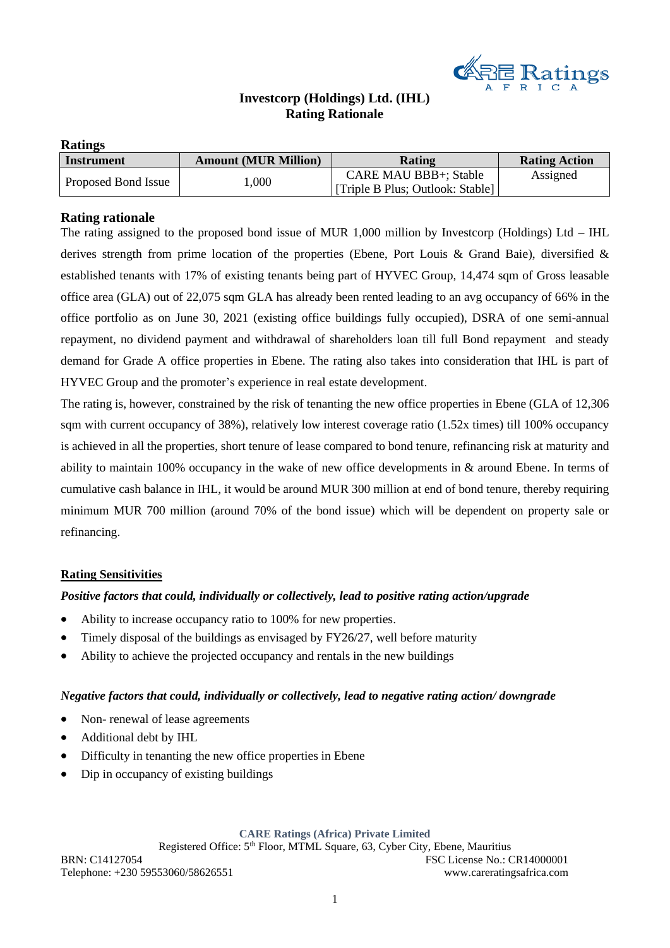

# **Investcorp (Holdings) Ltd. (IHL) Rating Rationale**

## **Ratings**

| <b>Instrument</b>   | <b>Amount (MUR Million)</b> | Rating                            | <b>Rating Action</b> |
|---------------------|-----------------------------|-----------------------------------|----------------------|
| Proposed Bond Issue | $000$ .                     | CARE MAU BBB+; Stable             | Assigned             |
|                     |                             | [Triple B Plus; Outlook: Stable]] |                      |

# **Rating rationale**

The rating assigned to the proposed bond issue of MUR 1,000 million by Investcorp (Holdings) Ltd – IHL derives strength from prime location of the properties (Ebene, Port Louis & Grand Baie), diversified & established tenants with 17% of existing tenants being part of HYVEC Group, 14,474 sqm of Gross leasable office area (GLA) out of 22,075 sqm GLA has already been rented leading to an avg occupancy of 66% in the office portfolio as on June 30, 2021 (existing office buildings fully occupied), DSRA of one semi-annual repayment, no dividend payment and withdrawal of shareholders loan till full Bond repayment and steady demand for Grade A office properties in Ebene. The rating also takes into consideration that IHL is part of HYVEC Group and the promoter's experience in real estate development.

The rating is, however, constrained by the risk of tenanting the new office properties in Ebene (GLA of 12,306 sqm with current occupancy of 38%), relatively low interest coverage ratio (1.52x times) till 100% occupancy is achieved in all the properties, short tenure of lease compared to bond tenure, refinancing risk at maturity and ability to maintain 100% occupancy in the wake of new office developments in & around Ebene. In terms of cumulative cash balance in IHL, it would be around MUR 300 million at end of bond tenure, thereby requiring minimum MUR 700 million (around 70% of the bond issue) which will be dependent on property sale or refinancing.

## **Rating Sensitivities**

## *Positive factors that could, individually or collectively, lead to positive rating action/upgrade*

- Ability to increase occupancy ratio to 100% for new properties.
- Timely disposal of the buildings as envisaged by  $FY26/27$ , well before maturity
- Ability to achieve the projected occupancy and rentals in the new buildings

## *Negative factors that could, individually or collectively, lead to negative rating action/ downgrade*

- Non- renewal of lease agreements
- Additional debt by IHL
- Difficulty in tenanting the new office properties in Ebene
- Dip in occupancy of existing buildings

#### **CARE Ratings (Africa) Private Limited**

Registered Office: 5<sup>th</sup> Floor, MTML Square, 63, Cyber City, Ebene, Mauritius BRN: C14127054 FSC License No.: CR14000001 Telephone: +230 59553060/58626551 www.careratingsafrica.com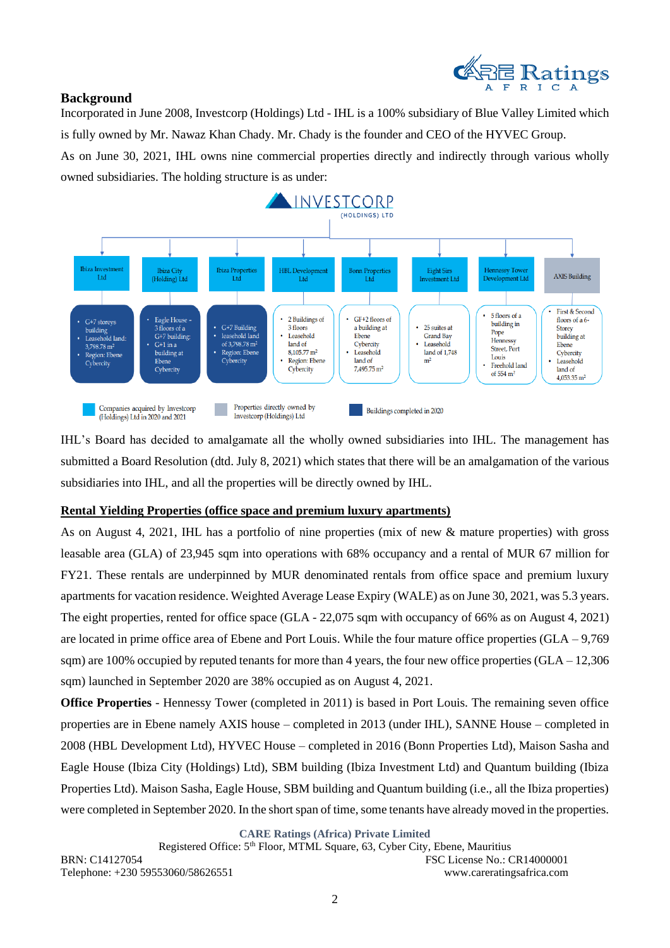

# **Background**

Incorporated in June 2008, Investcorp (Holdings) Ltd - IHL is a 100% subsidiary of Blue Valley Limited which is fully owned by Mr. Nawaz Khan Chady. Mr. Chady is the founder and CEO of the HYVEC Group.

As on June 30, 2021, IHL owns nine commercial properties directly and indirectly through various wholly owned subsidiaries. The holding structure is as under:



IHL's Board has decided to amalgamate all the wholly owned subsidiaries into IHL. The management has submitted a Board Resolution (dtd. July 8, 2021) which states that there will be an amalgamation of the various subsidiaries into IHL, and all the properties will be directly owned by IHL.

# **Rental Yielding Properties (office space and premium luxury apartments)**

As on August 4, 2021, IHL has a portfolio of nine properties (mix of new & mature properties) with gross leasable area (GLA) of 23,945 sqm into operations with 68% occupancy and a rental of MUR 67 million for FY21. These rentals are underpinned by MUR denominated rentals from office space and premium luxury apartments for vacation residence. Weighted Average Lease Expiry (WALE) as on June 30, 2021, was 5.3 years. The eight properties, rented for office space (GLA - 22,075 sqm with occupancy of 66% as on August 4, 2021) are located in prime office area of Ebene and Port Louis. While the four mature office properties (GLA – 9,769 sqm) are 100% occupied by reputed tenants for more than 4 years, the four new office properties  $(GLA - 12,306)$ sqm) launched in September 2020 are 38% occupied as on August 4, 2021.

**Office Properties** - Hennessy Tower (completed in 2011) is based in Port Louis. The remaining seven office properties are in Ebene namely AXIS house – completed in 2013 (under IHL), SANNE House – completed in 2008 (HBL Development Ltd), HYVEC House – completed in 2016 (Bonn Properties Ltd), Maison Sasha and Eagle House (Ibiza City (Holdings) Ltd), SBM building (Ibiza Investment Ltd) and Quantum building (Ibiza Properties Ltd). Maison Sasha, Eagle House, SBM building and Quantum building (i.e., all the Ibiza properties) were completed in September 2020. In the short span of time, some tenants have already moved in the properties.

**CARE Ratings (Africa) Private Limited**

Registered Office: 5th Floor, MTML Square, 63, Cyber City, Ebene, Mauritius BRN: C14127054 FSC License No.: CR14000001 Telephone: +230 59553060/58626551 www.careratingsafrica.com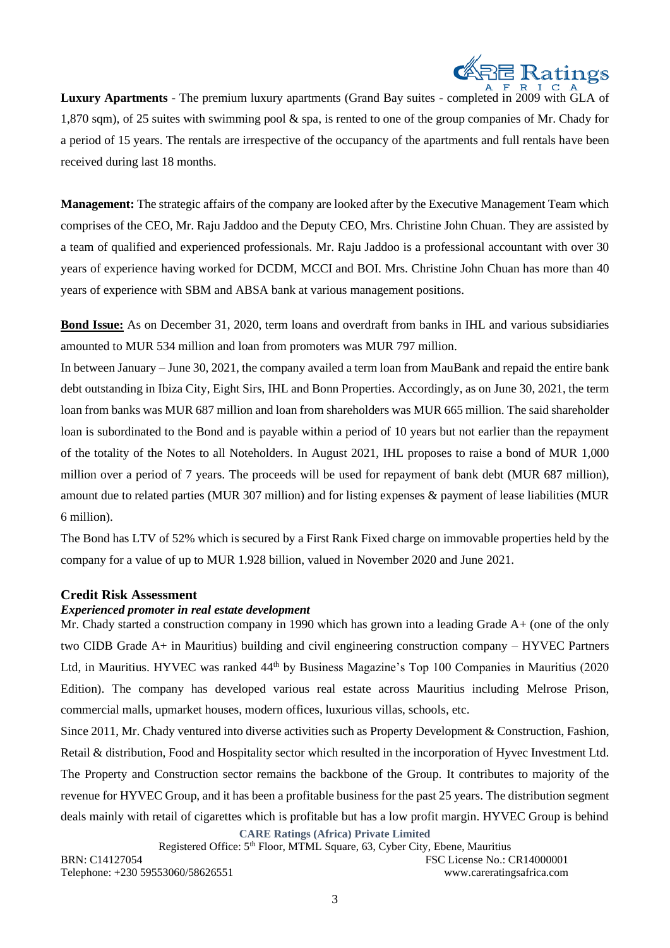

**Luxury Apartments** - The premium luxury apartments (Grand Bay suites - completed in 2009 with GLA of 1,870 sqm), of 25 suites with swimming pool & spa, is rented to one of the group companies of Mr. Chady for a period of 15 years. The rentals are irrespective of the occupancy of the apartments and full rentals have been received during last 18 months.

**Management:** The strategic affairs of the company are looked after by the Executive Management Team which comprises of the CEO, Mr. Raju Jaddoo and the Deputy CEO, Mrs. Christine John Chuan. They are assisted by a team of qualified and experienced professionals. Mr. Raju Jaddoo is a professional accountant with over 30 years of experience having worked for DCDM, MCCI and BOI. Mrs. Christine John Chuan has more than 40 years of experience with SBM and ABSA bank at various management positions.

**Bond Issue:** As on December 31, 2020, term loans and overdraft from banks in IHL and various subsidiaries amounted to MUR 534 million and loan from promoters was MUR 797 million.

In between January – June 30, 2021, the company availed a term loan from MauBank and repaid the entire bank debt outstanding in Ibiza City, Eight Sirs, IHL and Bonn Properties. Accordingly, as on June 30, 2021, the term loan from banks was MUR 687 million and loan from shareholders was MUR 665 million. The said shareholder loan is subordinated to the Bond and is payable within a period of 10 years but not earlier than the repayment of the totality of the Notes to all Noteholders. In August 2021, IHL proposes to raise a bond of MUR 1,000 million over a period of 7 years. The proceeds will be used for repayment of bank debt (MUR 687 million), amount due to related parties (MUR 307 million) and for listing expenses & payment of lease liabilities (MUR 6 million).

The Bond has LTV of 52% which is secured by a First Rank Fixed charge on immovable properties held by the company for a value of up to MUR 1.928 billion, valued in November 2020 and June 2021.

## **Credit Risk Assessment**

## *Experienced promoter in real estate development*

Mr. Chady started a construction company in 1990 which has grown into a leading Grade A+ (one of the only two CIDB Grade A+ in Mauritius) building and civil engineering construction company – HYVEC Partners Ltd, in Mauritius. HYVEC was ranked 44<sup>th</sup> by Business Magazine's Top 100 Companies in Mauritius (2020) Edition). The company has developed various real estate across Mauritius including Melrose Prison, commercial malls, upmarket houses, modern offices, luxurious villas, schools, etc.

**CARE Ratings (Africa) Private Limited** Since 2011, Mr. Chady ventured into diverse activities such as Property Development & Construction, Fashion, Retail & distribution, Food and Hospitality sector which resulted in the incorporation of Hyvec Investment Ltd. The Property and Construction sector remains the backbone of the Group. It contributes to majority of the revenue for HYVEC Group, and it has been a profitable business for the past 25 years. The distribution segment deals mainly with retail of cigarettes which is profitable but has a low profit margin. HYVEC Group is behind

Registered Office: 5th Floor, MTML Square, 63, Cyber City, Ebene, Mauritius BRN: C14127054 FSC License No.: CR14000001 Telephone: +230 59553060/58626551 www.careratingsafrica.com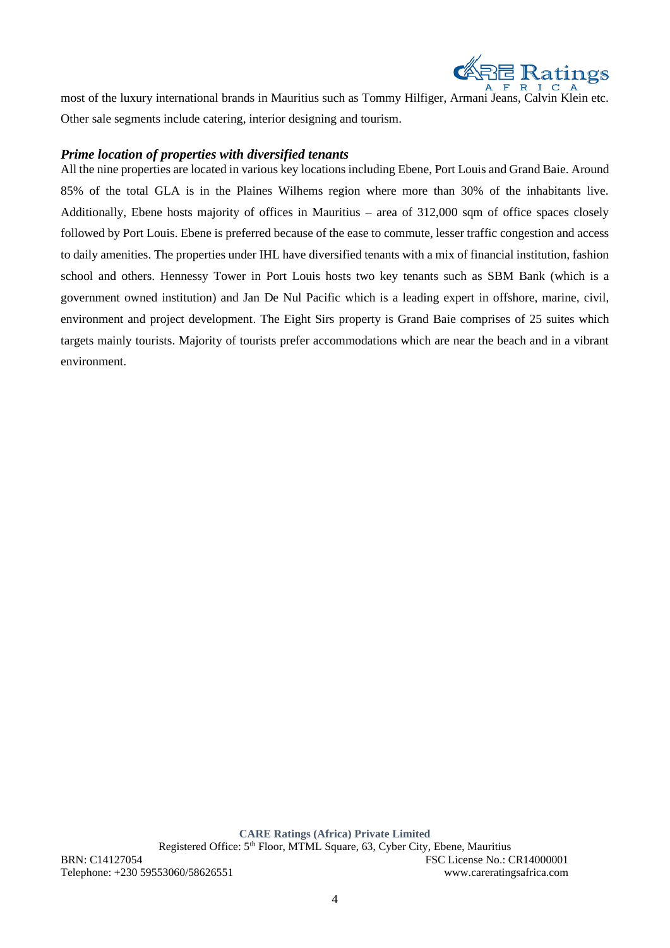

most of the luxury international brands in Mauritius such as Tommy Hilfiger, Armani Jeans, Calvin Klein etc. Other sale segments include catering, interior designing and tourism.

# *Prime location of properties with diversified tenants*

All the nine properties are located in various key locations including Ebene, Port Louis and Grand Baie. Around 85% of the total GLA is in the Plaines Wilhems region where more than 30% of the inhabitants live. Additionally, Ebene hosts majority of offices in Mauritius – area of 312,000 sqm of office spaces closely followed by Port Louis. Ebene is preferred because of the ease to commute, lesser traffic congestion and access to daily amenities. The properties under IHL have diversified tenants with a mix of financial institution, fashion school and others. Hennessy Tower in Port Louis hosts two key tenants such as SBM Bank (which is a government owned institution) and Jan De Nul Pacific which is a leading expert in offshore, marine, civil, environment and project development. The Eight Sirs property is Grand Baie comprises of 25 suites which targets mainly tourists. Majority of tourists prefer accommodations which are near the beach and in a vibrant environment.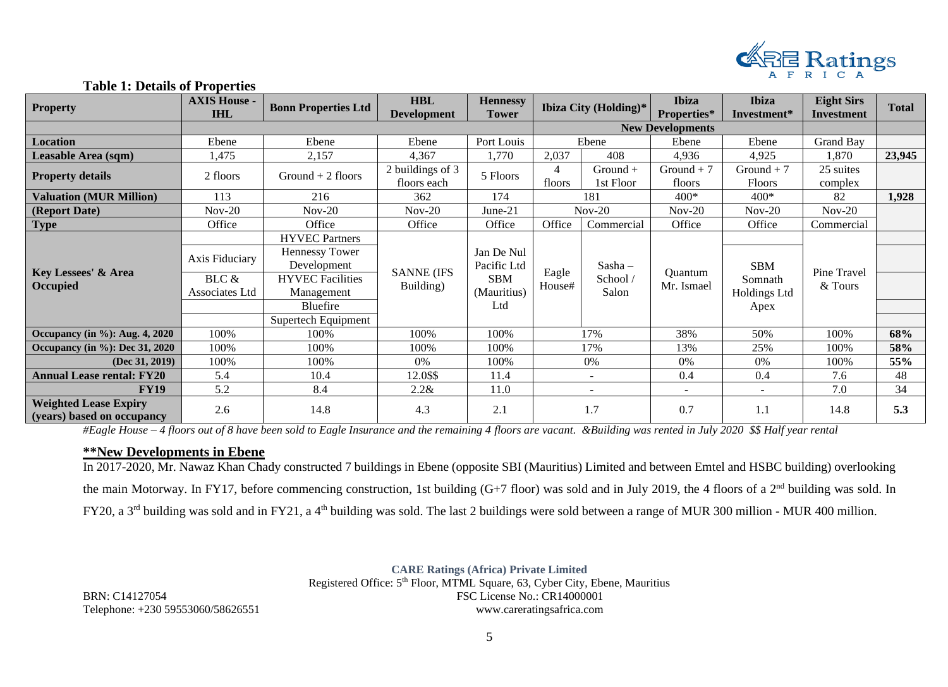

## **Table 1: Details of Properties**

| <b>Property</b>                                            | <b>AXIS House -</b><br><b>IHL</b>         | <b>Bonn Properties Ltd</b>                                                                                                                | <b>HBL</b><br><b>Development</b> | <b>Hennessy</b><br><b>Tower</b>                               |                 | Ibiza City (Holding)*          | <b>Ibiza</b><br>Properties* | <b>Ibiza</b><br>Investment*                   | <b>Eight Sirs</b><br>Investment | <b>Total</b> |
|------------------------------------------------------------|-------------------------------------------|-------------------------------------------------------------------------------------------------------------------------------------------|----------------------------------|---------------------------------------------------------------|-----------------|--------------------------------|-----------------------------|-----------------------------------------------|---------------------------------|--------------|
|                                                            |                                           |                                                                                                                                           |                                  |                                                               |                 |                                | <b>New Developments</b>     |                                               |                                 |              |
| Location                                                   | Ebene                                     | Ebene                                                                                                                                     | Ebene                            | Port Louis                                                    |                 | Ebene                          | Ebene                       | Ebene                                         | <b>Grand Bay</b>                |              |
| Leasable Area (sqm)                                        | 1,475                                     | 2,157                                                                                                                                     | 4,367                            | 1,770                                                         | 2,037           | 408                            | 4,936                       | 4,925                                         | 1,870                           | 23,945       |
| <b>Property details</b>                                    | 2 floors                                  | Ground $+2$ floors                                                                                                                        | 2 buildings of 3<br>floors each  | 5 Floors                                                      | 4<br>floors     | $Ground +$<br>1st Floor        | Ground $+7$<br>floors       | $Ground + 7$<br><b>Floors</b>                 | 25 suites<br>complex            |              |
| <b>Valuation (MUR Million)</b>                             | 113                                       | 216                                                                                                                                       | 362                              | 174                                                           |                 | 181                            | $400*$                      | $400*$                                        | 82                              | 1,928        |
| (Report Date)                                              | $Nov-20$                                  | $Nov-20$                                                                                                                                  | $Nov-20$                         | $June-21$                                                     |                 | $Nov-20$                       | $Nov-20$                    | $Nov-20$                                      | $Nov-20$                        |              |
| <b>Type</b>                                                | Office                                    | Office                                                                                                                                    | Office                           | Office                                                        | Office          | Commercial                     | Office                      | Office                                        | Commercial                      |              |
| Key Lessees' & Area<br>Occupied                            | Axis Fiduciary<br>BLC &<br>Associates Ltd | <b>HYVEC Partners</b><br><b>Hennessy Tower</b><br>Development<br><b>HYVEC</b> Facilities<br>Management<br>Bluefire<br>Supertech Equipment | <b>SANNE (IFS</b><br>Building)   | Jan De Nul<br>Pacific Ltd<br><b>SBM</b><br>(Mauritius)<br>Ltd | Eagle<br>House# | $Sasha -$<br>School /<br>Salon | Quantum<br>Mr. Ismael       | <b>SBM</b><br>Somnath<br>Holdings Ltd<br>Apex | Pine Travel<br>& Tours          |              |
| Occupancy (in $\%$ ): Aug. 4, 2020                         | 100%                                      | 100%                                                                                                                                      | 100%                             | 100%                                                          |                 | 17%                            | 38%                         | 50%                                           | 100%                            | 68%          |
| Occupancy (in %): Dec 31, 2020                             | 100%                                      | 100%                                                                                                                                      | 100%                             | 100%                                                          |                 | 17%                            | 13%                         | 25%                                           | 100%                            | 58%          |
| $(Dec\ 31, 2019)$                                          | 100%                                      | 100%                                                                                                                                      | 0%                               | 100%                                                          |                 | 0%                             | 0%                          | 0%                                            | 100%                            | 55%          |
| <b>Annual Lease rental: FY20</b>                           | 5.4                                       | 10.4                                                                                                                                      | 12.0\$\$                         | 11.4                                                          |                 | $\overline{\phantom{a}}$       | 0.4                         | 0.4                                           | 7.6                             | 48           |
| <b>FY19</b>                                                | 5.2                                       | 8.4                                                                                                                                       | 2.2 &                            | 11.0                                                          |                 | $\overline{\phantom{a}}$       | $\overline{\phantom{a}}$    | $\overline{\phantom{a}}$                      | 7.0                             | 34           |
| <b>Weighted Lease Expiry</b><br>(years) based on occupancy | 2.6                                       | 14.8                                                                                                                                      | 4.3                              | 2.1                                                           |                 | 1.7                            | 0.7                         | 1.1                                           | 14.8                            | 5.3          |

*#Eagle House – 4 floors out of 8 have been sold to Eagle Insurance and the remaining 4 floors are vacant. &Building was rented in July 2020 \$\$ Half year rental*

## **\*\*New Developments in Ebene**

In 2017-2020, Mr. Nawaz Khan Chady constructed 7 buildings in Ebene (opposite SBI (Mauritius) Limited and between Emtel and HSBC building) overlooking the main Motorway. In FY17, before commencing construction, 1st building (G+7 floor) was sold and in July 2019, the 4 floors of a 2nd building was sold. In FY20, a 3<sup>rd</sup> building was sold and in FY21, a 4<sup>th</sup> building was sold. The last 2 buildings were sold between a range of MUR 300 million - MUR 400 million.

**CARE Ratings (Africa) Private Limited** Registered Office: 5<sup>th</sup> Floor, MTML Square, 63, Cyber City, Ebene, Mauritius BRN: C14127054 FSC License No.: CR14000001 Telephone: +230 59553060/58626551 www.careratingsafrica.com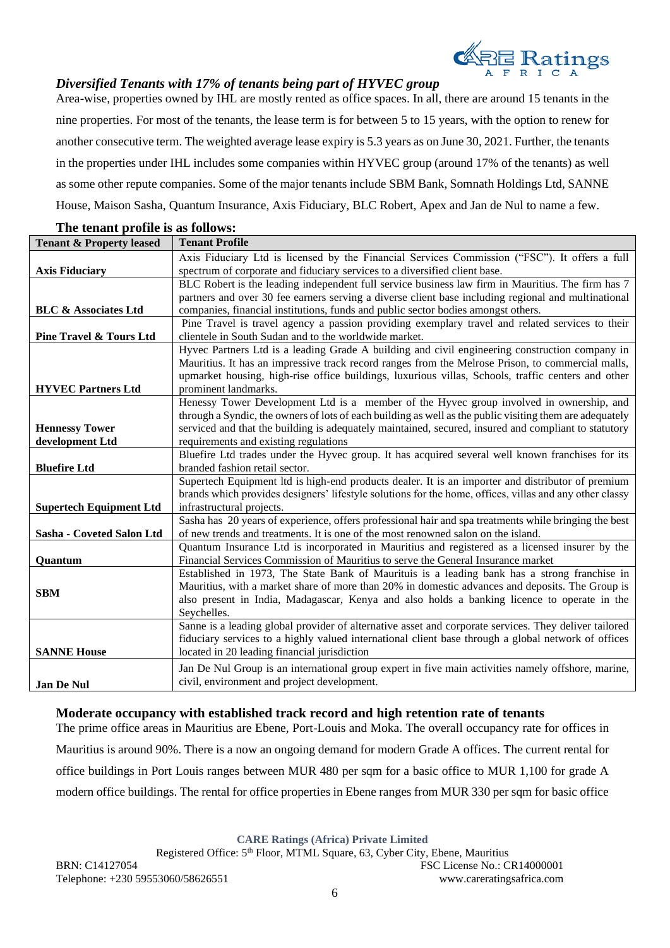

# *Diversified Tenants with 17% of tenants being part of HYVEC group*

Area-wise, properties owned by IHL are mostly rented as office spaces. In all, there are around 15 tenants in the nine properties. For most of the tenants, the lease term is for between 5 to 15 years, with the option to renew for another consecutive term. The weighted average lease expiry is 5.3 years as on June 30, 2021. Further, the tenants in the properties under IHL includes some companies within HYVEC group (around 17% of the tenants) as well as some other repute companies. Some of the major tenants include SBM Bank, Somnath Holdings Ltd, SANNE House, Maison Sasha, Quantum Insurance, Axis Fiduciary, BLC Robert, Apex and Jan de Nul to name a few.

| <b>Tenant &amp; Property leased</b> | <b>Tenant Profile</b>                                                                                    |
|-------------------------------------|----------------------------------------------------------------------------------------------------------|
|                                     | Axis Fiduciary Ltd is licensed by the Financial Services Commission ("FSC"). It offers a full            |
| <b>Axis Fiduciary</b>               | spectrum of corporate and fiduciary services to a diversified client base.                               |
|                                     | BLC Robert is the leading independent full service business law firm in Mauritius. The firm has 7        |
|                                     | partners and over 30 fee earners serving a diverse client base including regional and multinational      |
| <b>BLC &amp; Associates Ltd</b>     | companies, financial institutions, funds and public sector bodies amongst others.                        |
|                                     | Pine Travel is travel agency a passion providing exemplary travel and related services to their          |
| <b>Pine Travel &amp; Tours Ltd</b>  | clientele in South Sudan and to the worldwide market.                                                    |
|                                     | Hyvec Partners Ltd is a leading Grade A building and civil engineering construction company in           |
|                                     | Mauritius. It has an impressive track record ranges from the Melrose Prison, to commercial malls,        |
|                                     | upmarket housing, high-rise office buildings, luxurious villas, Schools, traffic centers and other       |
| <b>HYVEC Partners Ltd</b>           | prominent landmarks.                                                                                     |
|                                     | Henessy Tower Development Ltd is a member of the Hyvec group involved in ownership, and                  |
|                                     | through a Syndic, the owners of lots of each building as well as the public visiting them are adequately |
| <b>Hennessy Tower</b>               | serviced and that the building is adequately maintained, secured, insured and compliant to statutory     |
| development Ltd                     | requirements and existing regulations                                                                    |
|                                     | Bluefire Ltd trades under the Hyvec group. It has acquired several well known franchises for its         |
| <b>Bluefire Ltd</b>                 | branded fashion retail sector.                                                                           |
|                                     | Supertech Equipment ltd is high-end products dealer. It is an importer and distributor of premium        |
|                                     | brands which provides designers' lifestyle solutions for the home, offices, villas and any other classy  |
| <b>Supertech Equipment Ltd</b>      | infrastructural projects.                                                                                |
|                                     | Sasha has 20 years of experience, offers professional hair and spa treatments while bringing the best    |
| Sasha - Coveted Salon Ltd           | of new trends and treatments. It is one of the most renowned salon on the island.                        |
|                                     | Quantum Insurance Ltd is incorporated in Mauritius and registered as a licensed insurer by the           |
| Quantum                             | Financial Services Commission of Mauritius to serve the General Insurance market                         |
|                                     | Established in 1973, The State Bank of Maurituis is a leading bank has a strong franchise in             |
| <b>SBM</b>                          | Mauritius, with a market share of more than 20% in domestic advances and deposits. The Group is          |
|                                     | also present in India, Madagascar, Kenya and also holds a banking licence to operate in the              |
|                                     | Seychelles.                                                                                              |
|                                     | Sanne is a leading global provider of alternative asset and corporate services. They deliver tailored    |
|                                     | fiduciary services to a highly valued international client base through a global network of offices      |
| <b>SANNE House</b>                  | located in 20 leading financial jurisdiction                                                             |
|                                     | Jan De Nul Group is an international group expert in five main activities namely offshore, marine,       |
| <b>Jan De Nul</b>                   | civil, environment and project development.                                                              |

## **The tenant profile is as follows:**

# **Moderate occupancy with established track record and high retention rate of tenants**

The prime office areas in Mauritius are Ebene, Port-Louis and Moka. The overall occupancy rate for offices in Mauritius is around 90%. There is a now an ongoing demand for modern Grade A offices. The current rental for office buildings in Port Louis ranges between MUR 480 per sqm for a basic office to MUR 1,100 for grade A modern office buildings. The rental for office properties in Ebene ranges from MUR 330 per sqm for basic office

**CARE Ratings (Africa) Private Limited**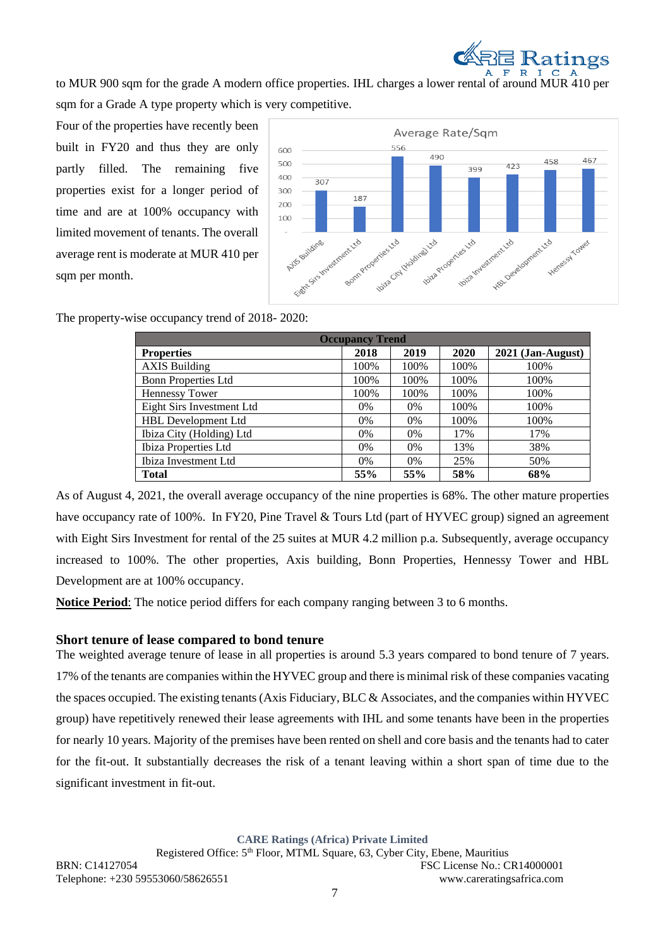

to MUR 900 sqm for the grade A modern office properties. IHL charges a lower rental of around MUR 410 per sqm for a Grade A type property which is very competitive.

Four of the properties have recently been built in FY20 and thus they are only partly filled. The remaining five properties exist for a longer period of time and are at 100% occupancy with limited movement of tenants. The overall average rent is moderate at MUR 410 per sqm per month.



The property-wise occupancy trend of 2018- 2020:

| <b>Occupancy Trend</b>    |       |       |      |                     |  |
|---------------------------|-------|-------|------|---------------------|--|
| <b>Properties</b>         | 2018  | 2019  | 2020 | $2021$ (Jan-August) |  |
| <b>AXIS Building</b>      | 100%  | 100%  | 100% | 100%                |  |
| Bonn Properties Ltd       | 100%  | 100%  | 100% | 100%                |  |
| <b>Hennessy Tower</b>     | 100%  | 100%  | 100% | 100%                |  |
| Eight Sirs Investment Ltd | $0\%$ | $0\%$ | 100% | 100%                |  |
| HBL Development Ltd       | $0\%$ | 0%    | 100% | 100%                |  |
| Ibiza City (Holding) Ltd  | $0\%$ | $0\%$ | 17%  | 17%                 |  |
| Ibiza Properties Ltd      | $0\%$ | 0%    | 13%  | 38%                 |  |
| Ibiza Investment Ltd      | 0%    | 0%    | 25%  | 50%                 |  |
| <b>Total</b>              | 55%   | 55%   | 58%  | 68%                 |  |

As of August 4, 2021, the overall average occupancy of the nine properties is 68%. The other mature properties have occupancy rate of 100%. In FY20, Pine Travel & Tours Ltd (part of HYVEC group) signed an agreement with Eight Sirs Investment for rental of the 25 suites at MUR 4.2 million p.a. Subsequently, average occupancy increased to 100%. The other properties, Axis building, Bonn Properties, Hennessy Tower and HBL Development are at 100% occupancy.

**Notice Period**: The notice period differs for each company ranging between 3 to 6 months.

# **Short tenure of lease compared to bond tenure**

The weighted average tenure of lease in all properties is around 5.3 years compared to bond tenure of 7 years. 17% of the tenants are companies within the HYVEC group and there is minimal risk of these companies vacating the spaces occupied. The existing tenants (Axis Fiduciary, BLC & Associates, and the companies within HYVEC group) have repetitively renewed their lease agreements with IHL and some tenants have been in the properties for nearly 10 years. Majority of the premises have been rented on shell and core basis and the tenants had to cater for the fit-out. It substantially decreases the risk of a tenant leaving within a short span of time due to the significant investment in fit-out.

**CARE Ratings (Africa) Private Limited**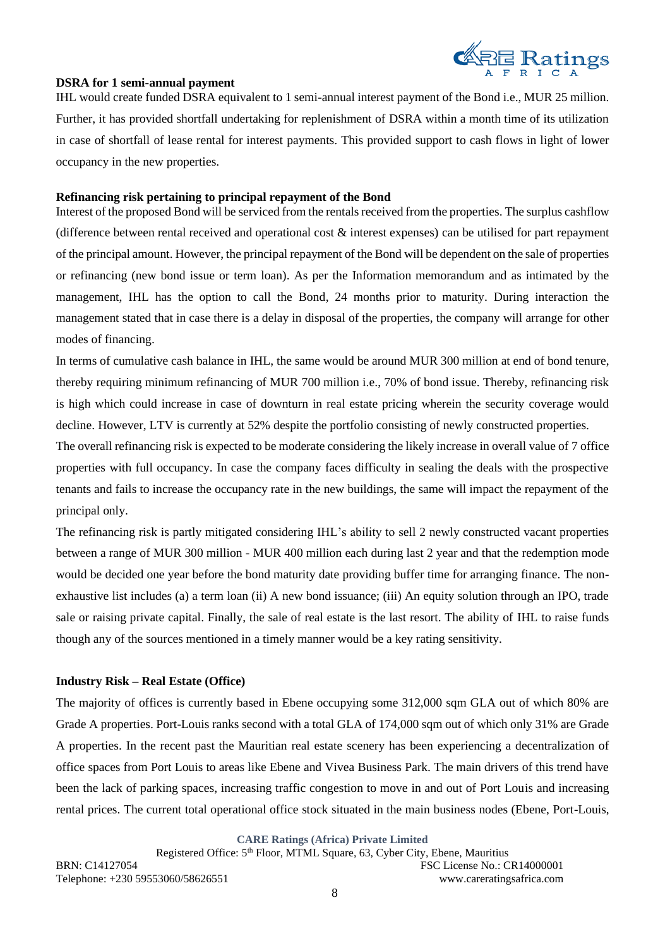

# **DSRA for 1 semi-annual payment**

IHL would create funded DSRA equivalent to 1 semi-annual interest payment of the Bond i.e., MUR 25 million. Further, it has provided shortfall undertaking for replenishment of DSRA within a month time of its utilization in case of shortfall of lease rental for interest payments. This provided support to cash flows in light of lower occupancy in the new properties.

## **Refinancing risk pertaining to principal repayment of the Bond**

Interest of the proposed Bond will be serviced from the rentals received from the properties. The surplus cashflow (difference between rental received and operational cost & interest expenses) can be utilised for part repayment of the principal amount. However, the principal repayment of the Bond will be dependent on the sale of properties or refinancing (new bond issue or term loan). As per the Information memorandum and as intimated by the management, IHL has the option to call the Bond, 24 months prior to maturity. During interaction the management stated that in case there is a delay in disposal of the properties, the company will arrange for other modes of financing.

In terms of cumulative cash balance in IHL, the same would be around MUR 300 million at end of bond tenure, thereby requiring minimum refinancing of MUR 700 million i.e., 70% of bond issue. Thereby, refinancing risk is high which could increase in case of downturn in real estate pricing wherein the security coverage would decline. However, LTV is currently at 52% despite the portfolio consisting of newly constructed properties.

The overall refinancing risk is expected to be moderate considering the likely increase in overall value of 7 office properties with full occupancy. In case the company faces difficulty in sealing the deals with the prospective tenants and fails to increase the occupancy rate in the new buildings, the same will impact the repayment of the principal only.

The refinancing risk is partly mitigated considering IHL's ability to sell 2 newly constructed vacant properties between a range of MUR 300 million - MUR 400 million each during last 2 year and that the redemption mode would be decided one year before the bond maturity date providing buffer time for arranging finance. The nonexhaustive list includes (a) a term loan (ii) A new bond issuance; (iii) An equity solution through an IPO, trade sale or raising private capital. Finally, the sale of real estate is the last resort. The ability of IHL to raise funds though any of the sources mentioned in a timely manner would be a key rating sensitivity.

## **Industry Risk – Real Estate (Office)**

The majority of offices is currently based in Ebene occupying some 312,000 sqm GLA out of which 80% are Grade A properties. Port-Louis ranks second with a total GLA of 174,000 sqm out of which only 31% are Grade A properties. In the recent past the Mauritian real estate scenery has been experiencing a decentralization of office spaces from Port Louis to areas like Ebene and Vivea Business Park. The main drivers of this trend have been the lack of parking spaces, increasing traffic congestion to move in and out of Port Louis and increasing rental prices. The current total operational office stock situated in the main business nodes (Ebene, Port-Louis,

**CARE Ratings (Africa) Private Limited**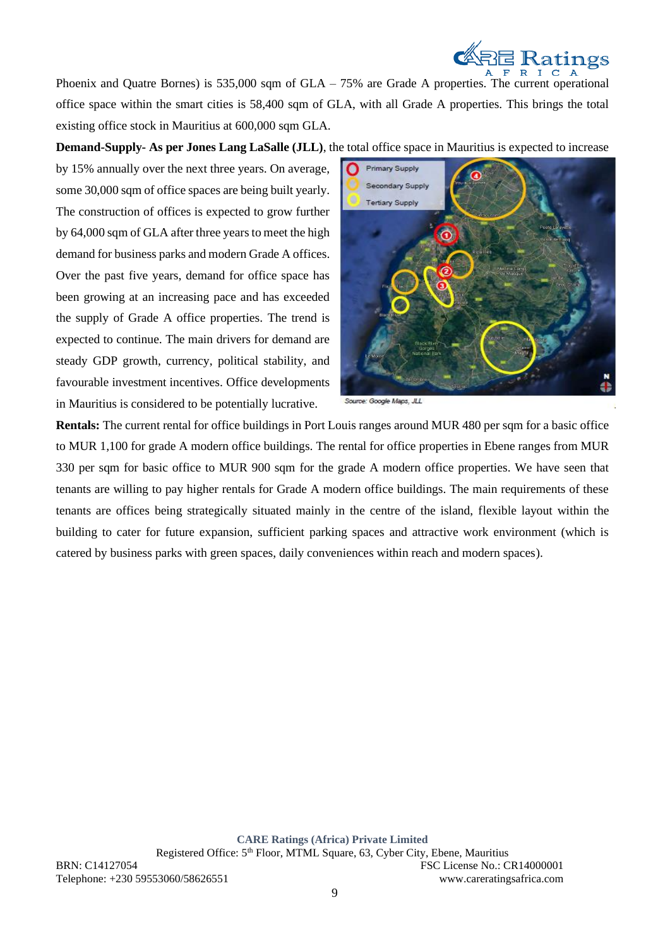

Phoenix and Quatre Bornes) is 535,000 sqm of  $GLA - 75%$  are Grade A properties. The current operational office space within the smart cities is 58,400 sqm of GLA, with all Grade A properties. This brings the total existing office stock in Mauritius at 600,000 sqm GLA.

**Demand-Supply- As per Jones Lang LaSalle (JLL)**, the total office space in Mauritius is expected to increase

by 15% annually over the next three years. On average, some 30,000 sqm of office spaces are being built yearly. The construction of offices is expected to grow further by 64,000 sqm of GLA after three years to meet the high demand for business parks and modern Grade A offices. Over the past five years, demand for office space has been growing at an increasing pace and has exceeded the supply of Grade A office properties. The trend is expected to continue. The main drivers for demand are steady GDP growth, currency, political stability, and favourable investment incentives. Office developments in Mauritius is considered to be potentially lucrative.



Source: Google Maps, JLL

**Rentals:** The current rental for office buildings in Port Louis ranges around MUR 480 per sqm for a basic office to MUR 1,100 for grade A modern office buildings. The rental for office properties in Ebene ranges from MUR 330 per sqm for basic office to MUR 900 sqm for the grade A modern office properties. We have seen that tenants are willing to pay higher rentals for Grade A modern office buildings. The main requirements of these tenants are offices being strategically situated mainly in the centre of the island, flexible layout within the building to cater for future expansion, sufficient parking spaces and attractive work environment (which is catered by business parks with green spaces, daily conveniences within reach and modern spaces).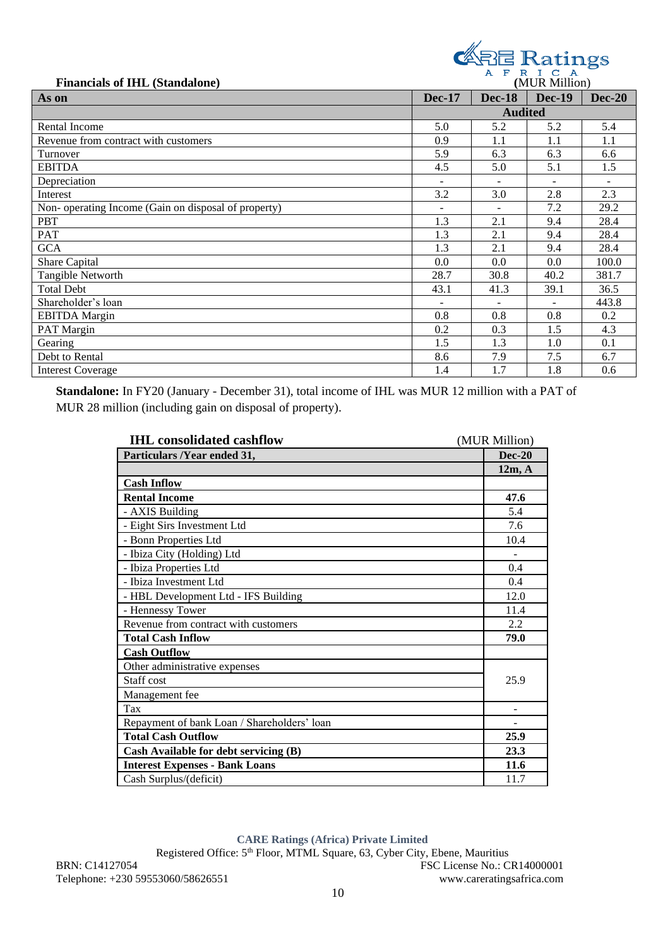Financials of IHL (Standalone) **CARE Ratings** 

| r manciais or mm (standarone)                       |                          |               | ,,,,,,,,,,,,,,,,,, |               |
|-----------------------------------------------------|--------------------------|---------------|--------------------|---------------|
| As on                                               | <b>Dec-17</b>            | <b>Dec-18</b> | <b>Dec-19</b>      | <b>Dec-20</b> |
|                                                     | <b>Audited</b>           |               |                    |               |
| Rental Income                                       | 5.0                      | 5.2           | 5.2                | 5.4           |
| Revenue from contract with customers                | 0.9                      | 1.1           | 1.1                | 1.1           |
| Turnover                                            | 5.9                      | 6.3           | 6.3                | 6.6           |
| <b>EBITDA</b>                                       | 4.5                      | 5.0           | 5.1                | 1.5           |
| Depreciation                                        | ÷.                       |               | $\sim$             |               |
| Interest                                            | 3.2                      | 3.0           | 2.8                | 2.3           |
| Non-operating Income (Gain on disposal of property) | $\overline{\phantom{a}}$ |               | 7.2                | 29.2          |
| <b>PBT</b>                                          | 1.3                      | 2.1           | 9.4                | 28.4          |
| PAT                                                 | 1.3                      | 2.1           | 9.4                | 28.4          |
| <b>GCA</b>                                          | 1.3                      | 2.1           | 9.4                | 28.4          |
| Share Capital                                       | 0.0                      | 0.0           | 0.0                | 100.0         |
| Tangible Networth                                   | 28.7                     | 30.8          | 40.2               | 381.7         |
| <b>Total Debt</b>                                   | 43.1                     | 41.3          | 39.1               | 36.5          |
| Shareholder's loan                                  |                          |               |                    | 443.8         |
| <b>EBITDA</b> Margin                                | 0.8                      | 0.8           | 0.8                | 0.2           |
| PAT Margin                                          | 0.2                      | 0.3           | 1.5                | 4.3           |
| Gearing                                             | 1.5                      | 1.3           | 1.0                | 0.1           |
| Debt to Rental                                      | 8.6                      | 7.9           | 7.5                | 6.7           |
| <b>Interest Coverage</b>                            | 1.4                      | 1.7           | 1.8                | 0.6           |

**Standalone:** In FY20 (January - December 31), total income of IHL was MUR 12 million with a PAT of MUR 28 million (including gain on disposal of property).

| <b>IHL</b> consolidated cashflow            | (MUR Million) |
|---------------------------------------------|---------------|
| Particulars /Year ended 31,                 | <b>Dec-20</b> |
|                                             | 12m, A        |
| <b>Cash Inflow</b>                          |               |
| <b>Rental Income</b>                        | 47.6          |
| - AXIS Building                             | 5.4           |
| - Eight Sirs Investment Ltd                 | 7.6           |
| - Bonn Properties Ltd                       | 10.4          |
| - Ibiza City (Holding) Ltd                  |               |
| - Ibiza Properties Ltd                      | 0.4           |
| - Ibiza Investment Ltd                      | 0.4           |
| - HBL Development Ltd - IFS Building        | 12.0          |
| - Hennessy Tower                            | 11.4          |
| Revenue from contract with customers        | 2.2           |
| <b>Total Cash Inflow</b>                    | 79.0          |
| <b>Cash Outflow</b>                         |               |
| Other administrative expenses               |               |
| Staff cost                                  | 25.9          |
| Management fee                              |               |
| Tax                                         |               |
| Repayment of bank Loan / Shareholders' loan |               |
| <b>Total Cash Outflow</b>                   | 25.9          |
| Cash Available for debt servicing (B)       | 23.3          |
| <b>Interest Expenses - Bank Loans</b>       | 11.6          |
| Cash Surplus/(deficit)                      | 11.7          |

**CARE Ratings (Africa) Private Limited**

Registered Office: 5<sup>th</sup> Floor, MTML Square, 63, Cyber City, Ebene, Mauritius BRN: C14127054 FSC License No.: CR14000001 Telephone: +230 59553060/58626551 www.careratingsafrica.com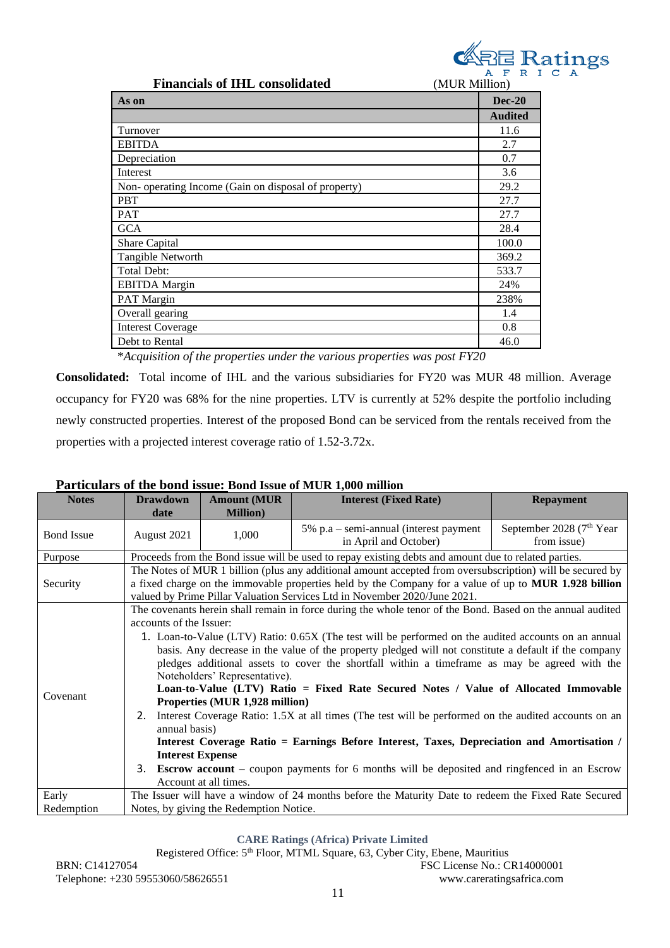

| <b>Financials of IHL consolidated</b><br>(MUR Million) |                |
|--------------------------------------------------------|----------------|
| As on                                                  | $Dec-20$       |
|                                                        | <b>Audited</b> |
| Turnover                                               | 11.6           |
| <b>EBITDA</b>                                          | 2.7            |
| Depreciation                                           | 0.7            |
| Interest                                               | 3.6            |
| Non-operating Income (Gain on disposal of property)    | 29.2           |
| <b>PBT</b>                                             | 27.7           |
| <b>PAT</b>                                             | 27.7           |
| <b>GCA</b>                                             | 28.4           |
| Share Capital                                          | 100.0          |
| Tangible Networth                                      | 369.2          |
| <b>Total Debt:</b>                                     | 533.7          |
| <b>EBITDA</b> Margin                                   | 24%            |
| PAT Margin                                             | 238%           |
| Overall gearing                                        | 1.4            |
| <b>Interest Coverage</b>                               | 0.8            |
| Debt to Rental                                         | 46.0           |

\**Acquisition of the properties under the various properties was post FY20*

**Consolidated:** Total income of IHL and the various subsidiaries for FY20 was MUR 48 million. Average occupancy for FY20 was 68% for the nine properties. LTV is currently at 52% despite the portfolio including newly constructed properties. Interest of the proposed Bond can be serviced from the rentals received from the properties with a projected interest coverage ratio of 1.52-3.72x.

| <b>Notes</b>      | <b>Drawdown</b>                                                                                                                                                                                                                                                                                                                                                                                                                                                                                                                                                                                                                                                                                                                                                                                                                                                                                                                                                                                   | <b>Amount (MUR)</b>                     | <b>Interest (Fixed Rate)</b>                                                                         | <b>Repayment</b>                                    |  |
|-------------------|---------------------------------------------------------------------------------------------------------------------------------------------------------------------------------------------------------------------------------------------------------------------------------------------------------------------------------------------------------------------------------------------------------------------------------------------------------------------------------------------------------------------------------------------------------------------------------------------------------------------------------------------------------------------------------------------------------------------------------------------------------------------------------------------------------------------------------------------------------------------------------------------------------------------------------------------------------------------------------------------------|-----------------------------------------|------------------------------------------------------------------------------------------------------|-----------------------------------------------------|--|
|                   | date                                                                                                                                                                                                                                                                                                                                                                                                                                                                                                                                                                                                                                                                                                                                                                                                                                                                                                                                                                                              | <b>Million</b> )                        |                                                                                                      |                                                     |  |
| <b>Bond Issue</b> | August 2021                                                                                                                                                                                                                                                                                                                                                                                                                                                                                                                                                                                                                                                                                                                                                                                                                                                                                                                                                                                       | 1,000                                   | $5\%$ p.a – semi-annual (interest payment<br>in April and October)                                   | September 2028 (7 <sup>th</sup> Year<br>from issue) |  |
| Purpose           |                                                                                                                                                                                                                                                                                                                                                                                                                                                                                                                                                                                                                                                                                                                                                                                                                                                                                                                                                                                                   |                                         | Proceeds from the Bond issue will be used to repay existing debts and amount due to related parties. |                                                     |  |
| Security          | The Notes of MUR 1 billion (plus any additional amount accepted from oversubscription) will be secured by<br>a fixed charge on the immovable properties held by the Company for a value of up to MUR 1.928 billion<br>valued by Prime Pillar Valuation Services Ltd in November 2020/June 2021.                                                                                                                                                                                                                                                                                                                                                                                                                                                                                                                                                                                                                                                                                                   |                                         |                                                                                                      |                                                     |  |
| Covenant          | The covenants herein shall remain in force during the whole tenor of the Bond. Based on the annual audited<br>accounts of the Issuer:<br>1. Loan-to-Value (LTV) Ratio: 0.65X (The test will be performed on the audited accounts on an annual<br>basis. Any decrease in the value of the property pledged will not constitute a default if the company<br>pledges additional assets to cover the shortfall within a timeframe as may be agreed with the<br>Noteholders' Representative).<br>Loan-to-Value (LTV) Ratio = Fixed Rate Secured Notes / Value of Allocated Immovable<br>Properties (MUR 1,928 million)<br>2. Interest Coverage Ratio: 1.5X at all times (The test will be performed on the audited accounts on an<br>annual basis)<br>Interest Coverage Ratio = Earnings Before Interest, Taxes, Depreciation and Amortisation /<br><b>Interest Expense</b><br>3. Escrow account – coupon payments for 6 months will be deposited and ringfenced in an Escrow<br>Account at all times. |                                         |                                                                                                      |                                                     |  |
| Early             |                                                                                                                                                                                                                                                                                                                                                                                                                                                                                                                                                                                                                                                                                                                                                                                                                                                                                                                                                                                                   |                                         | The Issuer will have a window of 24 months before the Maturity Date to redeem the Fixed Rate Secured |                                                     |  |
| Redemption        |                                                                                                                                                                                                                                                                                                                                                                                                                                                                                                                                                                                                                                                                                                                                                                                                                                                                                                                                                                                                   | Notes, by giving the Redemption Notice. |                                                                                                      |                                                     |  |

# **Particulars of the bond issue: Bond Issue of MUR 1,000 million**

**CARE Ratings (Africa) Private Limited**

Registered Office: 5th Floor, MTML Square, 63, Cyber City, Ebene, Mauritius